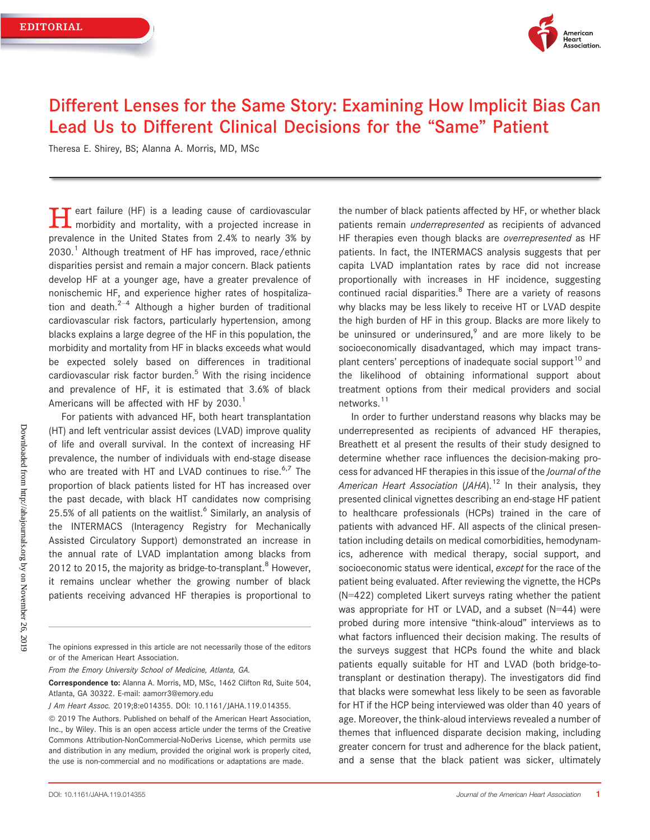

## Different Lenses for the Same Story: Examining How Implicit Bias Can Lead Us to Different Clinical Decisions for the "Same" Patient

Theresa E. Shirey, BS; Alanna A. Morris, MD, MSc

 $\blacksquare$  eart failure (HF) is a leading cause of cardiovascular morbidity and mortality, with a projected increase in prevalence in the United States from 2.4% to nearly 3% by  $2030.<sup>1</sup>$  Although treatment of HF has improved, race/ethnic disparities persist and remain a major concern. Black patients develop HF at a younger age, have a greater prevalence of nonischemic HF, and experience higher rates of hospitalization and death. $2-4$  Although a higher burden of traditional cardiovascular risk factors, particularly hypertension, among blacks explains a large degree of the HF in this population, the morbidity and mortality from HF in blacks exceeds what would be expected solely based on differences in traditional cardiovascular risk factor burden. $5$  With the rising incidence and prevalence of HF, it is estimated that 3.6% of black Americans will be affected with HF by  $2030.<sup>1</sup>$ 

For patients with advanced HF, both heart transplantation (HT) and left ventricular assist devices (LVAD) improve quality of life and overall survival. In the context of increasing HF prevalence, the number of individuals with end-stage disease who are treated with HT and LVAD continues to rise. $6,7$  The proportion of black patients listed for HT has increased over the past decade, with black HT candidates now comprising 25.5% of all patients on the waitlist. $6$  Similarly, an analysis of the INTERMACS (Interagency Registry for Mechanically Assisted Circulatory Support) demonstrated an increase in the annual rate of LVAD implantation among blacks from 2012 to 2015, the majority as bridge-to-transplant. $8$  However, it remains unclear whether the growing number of black patients receiving advanced HF therapies is proportional to

From the Emory University School of Medicine, Atlanta, GA.

Correspondence to: Alanna A. Morris, MD, MSc, 1462 Clifton Rd, Suite 504, Atlanta, GA 30322. E-mail: [aamorr3@emory.edu](mailto:aamorr3@emory.edu)

J Am Heart Assoc. 2019;8:e014355. DOI: 10.1161/JAHA.119.014355.

the number of black patients affected by HF, or whether black patients remain underrepresented as recipients of advanced HF therapies even though blacks are overrepresented as HF patients. In fact, the INTERMACS analysis suggests that per capita LVAD implantation rates by race did not increase proportionally with increases in HF incidence, suggesting continued racial disparities.<sup>8</sup> There are a variety of reasons why blacks may be less likely to receive HT or LVAD despite the high burden of HF in this group. Blacks are more likely to be uninsured or underinsured, $9$  and are more likely to be socioeconomically disadvantaged, which may impact transplant centers' perceptions of inadequate social support<sup>10</sup> and the likelihood of obtaining informational support about treatment options from their medical providers and social networks.<sup>11</sup>

In order to further understand reasons why blacks may be underrepresented as recipients of advanced HF therapies, Breathett et al present the results of their study designed to determine whether race influences the decision-making process for advanced HF therapies in this issue of the Journal of the American Heart Association  $(JAHA)$ .<sup>12</sup> In their analysis, they presented clinical vignettes describing an end-stage HF patient to healthcare professionals (HCPs) trained in the care of patients with advanced HF. All aspects of the clinical presentation including details on medical comorbidities, hemodynamics, adherence with medical therapy, social support, and socioeconomic status were identical, except for the race of the patient being evaluated. After reviewing the vignette, the HCPs (N=422) completed Likert surveys rating whether the patient was appropriate for HT or LVAD, and a subset (N=44) were probed during more intensive "think-aloud" interviews as to what factors influenced their decision making. The results of the surveys suggest that HCPs found the white and black patients equally suitable for HT and LVAD (both bridge-totransplant or destination therapy). The investigators did find that blacks were somewhat less likely to be seen as favorable for HT if the HCP being interviewed was older than 40 years of age. Moreover, the think-aloud interviews revealed a number of themes that influenced disparate decision making, including greater concern for trust and adherence for the black patient, and a sense that the black patient was sicker, ultimately

The opinions expressed in this article are not necessarily those of the editors or of the American Heart Association.

<sup>© 2019</sup> The Authors. Published on behalf of the American Heart Association, Inc., by Wiley. This is an open access article under the terms of the [Creative](http://creativecommons.org/licenses/by-nc-nd/4.0/) [Commons Attribution-NonCommercial-NoDerivs](http://creativecommons.org/licenses/by-nc-nd/4.0/) License, which permits use and distribution in any medium, provided the original work is properly cited, the use is non-commercial and no modifications or adaptations are made.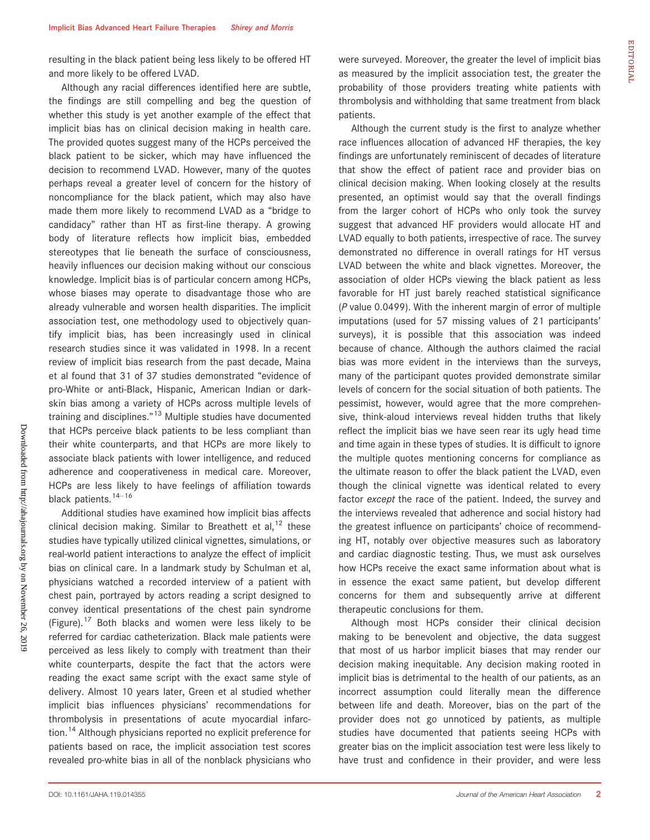resulting in the black patient being less likely to be offered HT and more likely to be offered LVAD.

Although any racial differences identified here are subtle, the findings are still compelling and beg the question of whether this study is yet another example of the effect that implicit bias has on clinical decision making in health care. The provided quotes suggest many of the HCPs perceived the black patient to be sicker, which may have influenced the decision to recommend LVAD. However, many of the quotes perhaps reveal a greater level of concern for the history of noncompliance for the black patient, which may also have made them more likely to recommend LVAD as a "bridge to candidacy" rather than HT as first-line therapy. A growing body of literature reflects how implicit bias, embedded stereotypes that lie beneath the surface of consciousness, heavily influences our decision making without our conscious knowledge. Implicit bias is of particular concern among HCPs, whose biases may operate to disadvantage those who are already vulnerable and worsen health disparities. The implicit association test, one methodology used to objectively quantify implicit bias, has been increasingly used in clinical research studies since it was validated in 1998. In a recent review of implicit bias research from the past decade, Maina et al found that 31 of 37 studies demonstrated "evidence of pro-White or anti-Black, Hispanic, American Indian or darkskin bias among a variety of HCPs across multiple levels of training and disciplines."<sup>13</sup> Multiple studies have documented that HCPs perceive black patients to be less compliant than their white counterparts, and that HCPs are more likely to associate black patients with lower intelligence, and reduced adherence and cooperativeness in medical care. Moreover, HCPs are less likely to have feelings of affiliation towards black patients.<sup>14–16</sup>

Additional studies have examined how implicit bias affects clinical decision making. Similar to Breathett et al,  $12$  these studies have typically utilized clinical vignettes, simulations, or real-world patient interactions to analyze the effect of implicit bias on clinical care. In a landmark study by Schulman et al, physicians watched a recorded interview of a patient with chest pain, portrayed by actors reading a script designed to convey identical presentations of the chest pain syndrome (Figure).<sup>17</sup> Both blacks and women were less likely to be referred for cardiac catheterization. Black male patients were perceived as less likely to comply with treatment than their white counterparts, despite the fact that the actors were reading the exact same script with the exact same style of delivery. Almost 10 years later, Green et al studied whether implicit bias influences physicians' recommendations for thrombolysis in presentations of acute myocardial infarction.<sup>14</sup> Although physicians reported no explicit preference for patients based on race, the implicit association test scores revealed pro-white bias in all of the nonblack physicians who were surveyed. Moreover, the greater the level of implicit bias as measured by the implicit association test, the greater the probability of those providers treating white patients with thrombolysis and withholding that same treatment from black patients.

Although the current study is the first to analyze whether race influences allocation of advanced HF therapies, the key findings are unfortunately reminiscent of decades of literature that show the effect of patient race and provider bias on clinical decision making. When looking closely at the results presented, an optimist would say that the overall findings from the larger cohort of HCPs who only took the survey suggest that advanced HF providers would allocate HT and LVAD equally to both patients, irrespective of race. The survey demonstrated no difference in overall ratings for HT versus LVAD between the white and black vignettes. Moreover, the association of older HCPs viewing the black patient as less favorable for HT just barely reached statistical significance (P value 0.0499). With the inherent margin of error of multiple imputations (used for 57 missing values of 21 participants' surveys), it is possible that this association was indeed because of chance. Although the authors claimed the racial bias was more evident in the interviews than the surveys, many of the participant quotes provided demonstrate similar levels of concern for the social situation of both patients. The pessimist, however, would agree that the more comprehensive, think-aloud interviews reveal hidden truths that likely reflect the implicit bias we have seen rear its ugly head time and time again in these types of studies. It is difficult to ignore the multiple quotes mentioning concerns for compliance as the ultimate reason to offer the black patient the LVAD, even though the clinical vignette was identical related to every factor except the race of the patient. Indeed, the survey and the interviews revealed that adherence and social history had the greatest influence on participants' choice of recommending HT, notably over objective measures such as laboratory and cardiac diagnostic testing. Thus, we must ask ourselves how HCPs receive the exact same information about what is in essence the exact same patient, but develop different concerns for them and subsequently arrive at different therapeutic conclusions for them.

Although most HCPs consider their clinical decision making to be benevolent and objective, the data suggest that most of us harbor implicit biases that may render our decision making inequitable. Any decision making rooted in implicit bias is detrimental to the health of our patients, as an incorrect assumption could literally mean the difference between life and death. Moreover, bias on the part of the provider does not go unnoticed by patients, as multiple studies have documented that patients seeing HCPs with greater bias on the implicit association test were less likely to have trust and confidence in their provider, and were less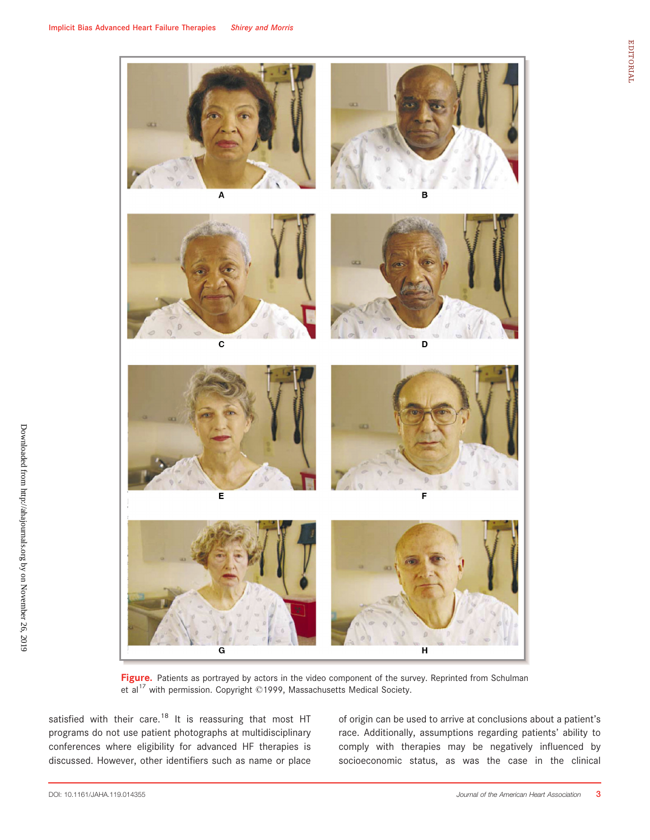

Figure. Patients as portrayed by actors in the video component of the survey. Reprinted from Schulman et al<sup>17</sup> with permission. Copyright ©1999, Massachusetts Medical Society.

satisfied with their care.<sup>18</sup> It is reassuring that most HT programs do not use patient photographs at multidisciplinary conferences where eligibility for advanced HF therapies is discussed. However, other identifiers such as name or place

of origin can be used to arrive at conclusions about a patient's race. Additionally, assumptions regarding patients' ability to comply with therapies may be negatively influenced by socioeconomic status, as was the case in the clinical